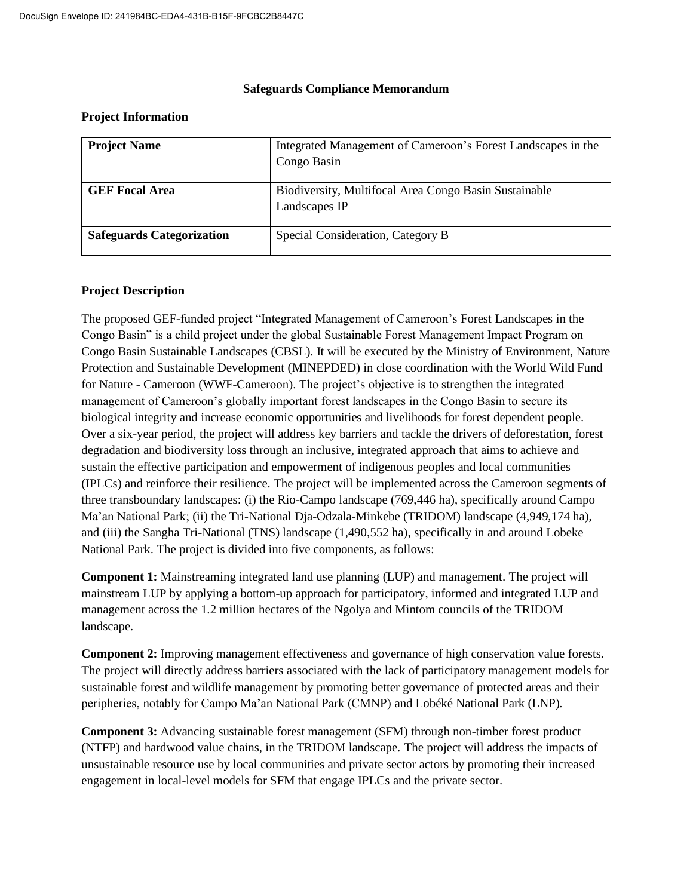#### **Safeguards Compliance Memorandum**

#### **Project Information**

| <b>Project Name</b>              | Integrated Management of Cameroon's Forest Landscapes in the<br>Congo Basin |
|----------------------------------|-----------------------------------------------------------------------------|
| <b>GEF Focal Area</b>            | Biodiversity, Multifocal Area Congo Basin Sustainable<br>Landscapes IP      |
| <b>Safeguards Categorization</b> | Special Consideration, Category B                                           |

#### **Project Description**

The proposed GEF-funded project "Integrated Management of Cameroon's Forest Landscapes in the Congo Basin" is a child project under the global Sustainable Forest Management Impact Program on Congo Basin Sustainable Landscapes (CBSL). It will be executed by the Ministry of Environment, Nature Protection and Sustainable Development (MINEPDED) in close coordination with the World Wild Fund for Nature - Cameroon (WWF-Cameroon). The project's objective is to strengthen the integrated management of Cameroon's globally important forest landscapes in the Congo Basin to secure its biological integrity and increase economic opportunities and livelihoods for forest dependent people. Over a six-year period, the project will address key barriers and tackle the drivers of deforestation, forest degradation and biodiversity loss through an inclusive, integrated approach that aims to achieve and sustain the effective participation and empowerment of indigenous peoples and local communities (IPLCs) and reinforce their resilience. The project will be implemented across the Cameroon segments of three transboundary landscapes: (i) the Rio-Campo landscape (769,446 ha), specifically around Campo Ma'an National Park; (ii) the Tri-National Dja-Odzala-Minkebe (TRIDOM) landscape (4,949,174 ha), and (iii) the Sangha Tri-National (TNS) landscape (1,490,552 ha), specifically in and around Lobeke National Park. The project is divided into five components, as follows:

**Component 1:** Mainstreaming integrated land use planning (LUP) and management. The project will mainstream LUP by applying a bottom-up approach for participatory, informed and integrated LUP and management across the 1.2 million hectares of the Ngolya and Mintom councils of the TRIDOM landscape.

**Component 2:** Improving management effectiveness and governance of high conservation value forests. The project will directly address barriers associated with the lack of participatory management models for sustainable forest and wildlife management by promoting better governance of protected areas and their peripheries, notably for Campo Ma'an National Park (CMNP) and Lobéké National Park (LNP).

**Component 3:** Advancing sustainable forest management (SFM) through non-timber forest product (NTFP) and hardwood value chains, in the TRIDOM landscape. The project will address the impacts of unsustainable resource use by local communities and private sector actors by promoting their increased engagement in local-level models for SFM that engage IPLCs and the private sector.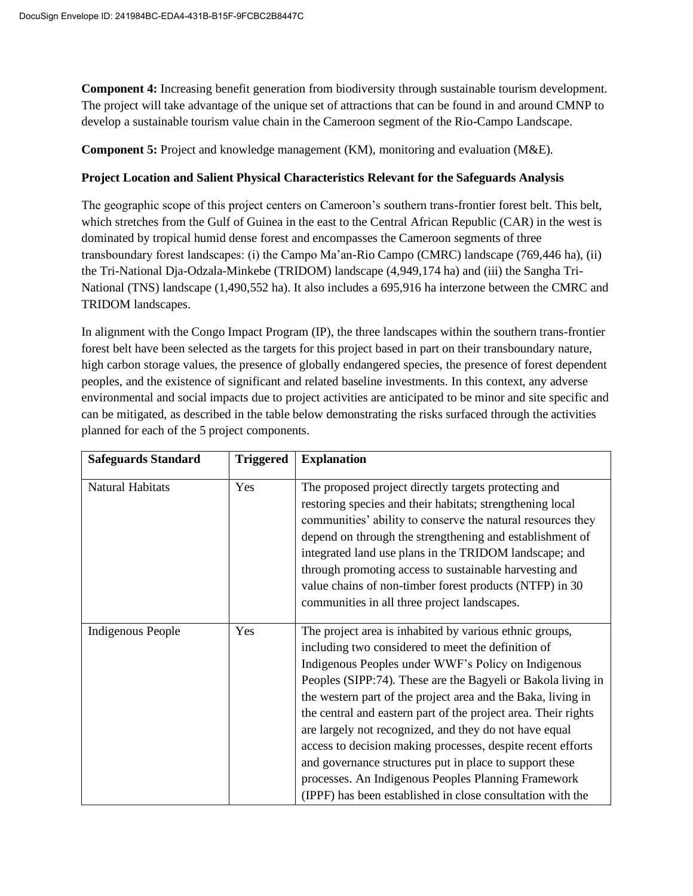**Component 4:** Increasing benefit generation from biodiversity through sustainable tourism development. The project will take advantage of the unique set of attractions that can be found in and around CMNP to develop a sustainable tourism value chain in the Cameroon segment of the Rio-Campo Landscape.

**Component 5:** Project and knowledge management (KM), monitoring and evaluation (M&E).

## **Project Location and Salient Physical Characteristics Relevant for the Safeguards Analysis**

The geographic scope of this project centers on Cameroon's southern trans-frontier forest belt. This belt, which stretches from the Gulf of Guinea in the east to the Central African Republic (CAR) in the west is dominated by tropical humid dense forest and encompasses the Cameroon segments of three transboundary forest landscapes: (i) the Campo Ma'an-Rio Campo (CMRC) landscape (769,446 ha), (ii) the Tri-National Dja-Odzala-Minkebe (TRIDOM) landscape (4,949,174 ha) and (iii) the Sangha Tri-National (TNS) landscape (1,490,552 ha). It also includes a 695,916 ha interzone between the CMRC and TRIDOM landscapes.

In alignment with the Congo Impact Program (IP), the three landscapes within the southern trans-frontier forest belt have been selected as the targets for this project based in part on their transboundary nature, high carbon storage values, the presence of globally endangered species, the presence of forest dependent peoples, and the existence of significant and related baseline investments. In this context, any adverse environmental and social impacts due to project activities are anticipated to be minor and site specific and can be mitigated, as described in the table below demonstrating the risks surfaced through the activities planned for each of the 5 project components.

| <b>Safeguards Standard</b> | <b>Triggered</b> | <b>Explanation</b>                                                                                                                                                                                                                                                                                                                                                                                                                                                                                                                                                                                                                                                              |
|----------------------------|------------------|---------------------------------------------------------------------------------------------------------------------------------------------------------------------------------------------------------------------------------------------------------------------------------------------------------------------------------------------------------------------------------------------------------------------------------------------------------------------------------------------------------------------------------------------------------------------------------------------------------------------------------------------------------------------------------|
| Natural Habitats           | Yes              | The proposed project directly targets protecting and<br>restoring species and their habitats; strengthening local<br>communities' ability to conserve the natural resources they<br>depend on through the strengthening and establishment of<br>integrated land use plans in the TRIDOM landscape; and<br>through promoting access to sustainable harvesting and<br>value chains of non-timber forest products (NTFP) in 30<br>communities in all three project landscapes.                                                                                                                                                                                                     |
| <b>Indigenous People</b>   | Yes              | The project area is inhabited by various ethnic groups,<br>including two considered to meet the definition of<br>Indigenous Peoples under WWF's Policy on Indigenous<br>Peoples (SIPP:74). These are the Bagyeli or Bakola living in<br>the western part of the project area and the Baka, living in<br>the central and eastern part of the project area. Their rights<br>are largely not recognized, and they do not have equal<br>access to decision making processes, despite recent efforts<br>and governance structures put in place to support these<br>processes. An Indigenous Peoples Planning Framework<br>(IPPF) has been established in close consultation with the |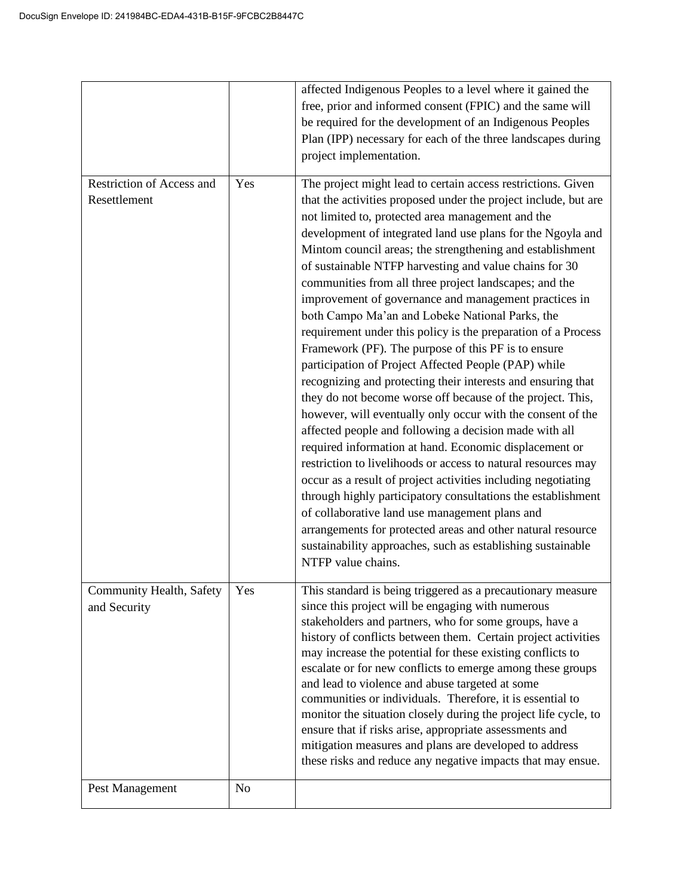|                                           |                       | affected Indigenous Peoples to a level where it gained the<br>free, prior and informed consent (FPIC) and the same will<br>be required for the development of an Indigenous Peoples<br>Plan (IPP) necessary for each of the three landscapes during<br>project implementation.                                                                                                                                                                                                                                                                                                                                                                                                                                                                                                                                                                                                                                                                                                                                                                                                                                                                                                                                                                                                                                                                                                                                                                            |
|-------------------------------------------|-----------------------|-----------------------------------------------------------------------------------------------------------------------------------------------------------------------------------------------------------------------------------------------------------------------------------------------------------------------------------------------------------------------------------------------------------------------------------------------------------------------------------------------------------------------------------------------------------------------------------------------------------------------------------------------------------------------------------------------------------------------------------------------------------------------------------------------------------------------------------------------------------------------------------------------------------------------------------------------------------------------------------------------------------------------------------------------------------------------------------------------------------------------------------------------------------------------------------------------------------------------------------------------------------------------------------------------------------------------------------------------------------------------------------------------------------------------------------------------------------|
| Restriction of Access and<br>Resettlement | Yes                   | The project might lead to certain access restrictions. Given<br>that the activities proposed under the project include, but are<br>not limited to, protected area management and the<br>development of integrated land use plans for the Ngoyla and<br>Mintom council areas; the strengthening and establishment<br>of sustainable NTFP harvesting and value chains for 30<br>communities from all three project landscapes; and the<br>improvement of governance and management practices in<br>both Campo Ma'an and Lobeke National Parks, the<br>requirement under this policy is the preparation of a Process<br>Framework (PF). The purpose of this PF is to ensure<br>participation of Project Affected People (PAP) while<br>recognizing and protecting their interests and ensuring that<br>they do not become worse off because of the project. This,<br>however, will eventually only occur with the consent of the<br>affected people and following a decision made with all<br>required information at hand. Economic displacement or<br>restriction to livelihoods or access to natural resources may<br>occur as a result of project activities including negotiating<br>through highly participatory consultations the establishment<br>of collaborative land use management plans and<br>arrangements for protected areas and other natural resource<br>sustainability approaches, such as establishing sustainable<br>NTFP value chains. |
| Community Health, Safety<br>and Security  | Yes<br>N <sub>0</sub> | This standard is being triggered as a precautionary measure<br>since this project will be engaging with numerous<br>stakeholders and partners, who for some groups, have a<br>history of conflicts between them. Certain project activities<br>may increase the potential for these existing conflicts to<br>escalate or for new conflicts to emerge among these groups<br>and lead to violence and abuse targeted at some<br>communities or individuals. Therefore, it is essential to<br>monitor the situation closely during the project life cycle, to<br>ensure that if risks arise, appropriate assessments and<br>mitigation measures and plans are developed to address<br>these risks and reduce any negative impacts that may ensue.                                                                                                                                                                                                                                                                                                                                                                                                                                                                                                                                                                                                                                                                                                            |
| Pest Management                           |                       |                                                                                                                                                                                                                                                                                                                                                                                                                                                                                                                                                                                                                                                                                                                                                                                                                                                                                                                                                                                                                                                                                                                                                                                                                                                                                                                                                                                                                                                           |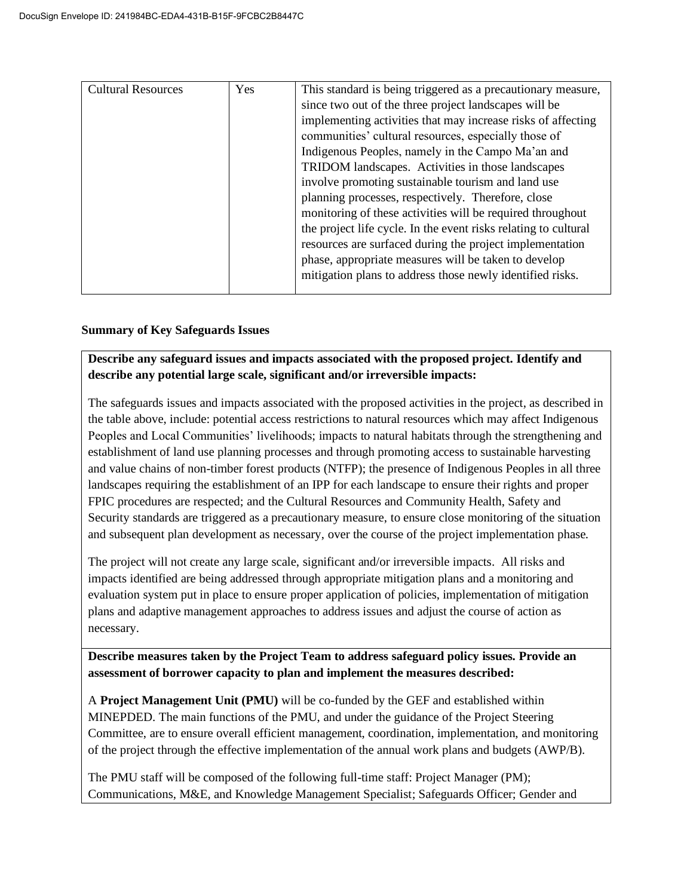| <b>Cultural Resources</b> | Yes | This standard is being triggered as a precautionary measure,    |
|---------------------------|-----|-----------------------------------------------------------------|
|                           |     | since two out of the three project landscapes will be           |
|                           |     | implementing activities that may increase risks of affecting    |
|                           |     | communities' cultural resources, especially those of            |
|                           |     | Indigenous Peoples, namely in the Campo Ma'an and               |
|                           |     | TRIDOM landscapes. Activities in those landscapes               |
|                           |     | involve promoting sustainable tourism and land use              |
|                           |     | planning processes, respectively. Therefore, close              |
|                           |     | monitoring of these activities will be required throughout      |
|                           |     | the project life cycle. In the event risks relating to cultural |
|                           |     | resources are surfaced during the project implementation        |
|                           |     | phase, appropriate measures will be taken to develop            |
|                           |     | mitigation plans to address those newly identified risks.       |
|                           |     |                                                                 |

## **Summary of Key Safeguards Issues**

**Describe any safeguard issues and impacts associated with the proposed project. Identify and describe any potential large scale, significant and/or irreversible impacts:**

The safeguards issues and impacts associated with the proposed activities in the project, as described in the table above, include: potential access restrictions to natural resources which may affect Indigenous Peoples and Local Communities' livelihoods; impacts to natural habitats through the strengthening and establishment of land use planning processes and through promoting access to sustainable harvesting and value chains of non-timber forest products (NTFP); the presence of Indigenous Peoples in all three landscapes requiring the establishment of an IPP for each landscape to ensure their rights and proper FPIC procedures are respected; and the Cultural Resources and Community Health, Safety and Security standards are triggered as a precautionary measure, to ensure close monitoring of the situation and subsequent plan development as necessary, over the course of the project implementation phase.

The project will not create any large scale, significant and/or irreversible impacts. All risks and impacts identified are being addressed through appropriate mitigation plans and a monitoring and evaluation system put in place to ensure proper application of policies, implementation of mitigation plans and adaptive management approaches to address issues and adjust the course of action as necessary.

**Describe measures taken by the Project Team to address safeguard policy issues. Provide an assessment of borrower capacity to plan and implement the measures described:**

A **Project Management Unit (PMU)** will be co-funded by the GEF and established within MINEPDED. The main functions of the PMU, and under the guidance of the Project Steering Committee, are to ensure overall efficient management, coordination, implementation, and monitoring of the project through the effective implementation of the annual work plans and budgets (AWP/B).

The PMU staff will be composed of the following full-time staff: Project Manager (PM); Communications, M&E, and Knowledge Management Specialist; Safeguards Officer; Gender and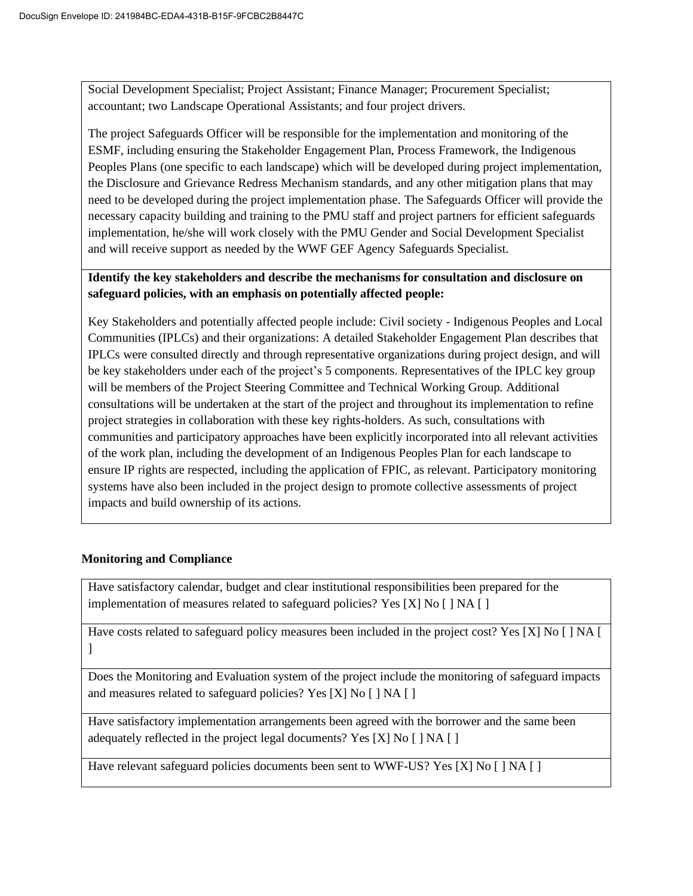Social Development Specialist; Project Assistant; Finance Manager; Procurement Specialist; accountant; two Landscape Operational Assistants; and four project drivers.

The project Safeguards Officer will be responsible for the implementation and monitoring of the ESMF, including ensuring the Stakeholder Engagement Plan, Process Framework, the Indigenous Peoples Plans (one specific to each landscape) which will be developed during project implementation, the Disclosure and Grievance Redress Mechanism standards, and any other mitigation plans that may need to be developed during the project implementation phase. The Safeguards Officer will provide the necessary capacity building and training to the PMU staff and project partners for efficient safeguards implementation, he/she will work closely with the PMU Gender and Social Development Specialist and will receive support as needed by the WWF GEF Agency Safeguards Specialist.

# **Identify the key stakeholders and describe the mechanisms for consultation and disclosure on safeguard policies, with an emphasis on potentially affected people:**

Key Stakeholders and potentially affected people include: Civil society - Indigenous Peoples and Local Communities (IPLCs) and their organizations: A detailed Stakeholder Engagement Plan describes that IPLCs were consulted directly and through representative organizations during project design, and will be key stakeholders under each of the project's 5 components. Representatives of the IPLC key group will be members of the Project Steering Committee and Technical Working Group. Additional consultations will be undertaken at the start of the project and throughout its implementation to refine project strategies in collaboration with these key rights-holders. As such, consultations with communities and participatory approaches have been explicitly incorporated into all relevant activities of the work plan, including the development of an Indigenous Peoples Plan for each landscape to ensure IP rights are respected, including the application of FPIC, as relevant. Participatory monitoring systems have also been included in the project design to promote collective assessments of project impacts and build ownership of its actions.

## **Monitoring and Compliance**

Have satisfactory calendar, budget and clear institutional responsibilities been prepared for the implementation of measures related to safeguard policies? Yes [X] No  $[ \ ]$  NA  $[ \ ]$ 

Have costs related to safeguard policy measures been included in the project cost? Yes [X] No [ ] NA [  $\mathbf{I}$ 

Does the Monitoring and Evaluation system of the project include the monitoring of safeguard impacts and measures related to safeguard policies? Yes [X] No [ ] NA [ ]

Have satisfactory implementation arrangements been agreed with the borrower and the same been adequately reflected in the project legal documents? Yes [X] No [ ] NA [ ]

Have relevant safeguard policies documents been sent to WWF-US? Yes [X] No [ ] NA [ ]